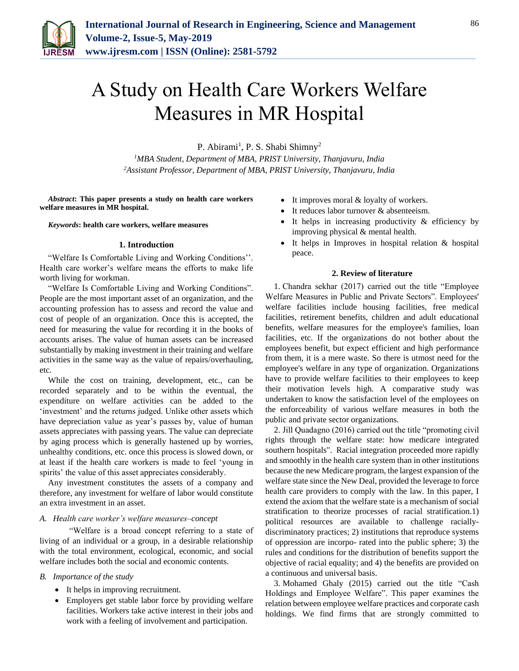

# A Study on Health Care Workers Welfare Measures in MR Hospital

P. Abirami<sup>1</sup>, P. S. Shabi Shimny<sup>2</sup>

*<sup>1</sup>MBA Student, Department of MBA, PRIST University, Thanjavuru, India 2Assistant Professor, Department of MBA, PRIST University, Thanjavuru, India*

*Abstract***: This paper presents a study on health care workers welfare measures in MR hospital.**

*Keywords***: health care workers, welfare measures**

#### **1. Introduction**

"Welfare Is Comfortable Living and Working Conditions''. Health care worker's welfare means the efforts to make life worth living for workman.

"Welfare Is Comfortable Living and Working Conditions". People are the most important asset of an organization, and the accounting profession has to assess and record the value and cost of people of an organization. Once this is accepted, the need for measuring the value for recording it in the books of accounts arises. The value of human assets can be increased substantially by making investment in their training and welfare activities in the same way as the value of repairs/overhauling, etc.

While the cost on training, development, etc., can be recorded separately and to be within the eventual, the expenditure on welfare activities can be added to the 'investment' and the returns judged. Unlike other assets which have depreciation value as year's passes by, value of human assets appreciates with passing years. The value can depreciate by aging process which is generally hastened up by worries, unhealthy conditions, etc. once this process is slowed down, or at least if the health care workers is made to feel 'young in spirits' the value of this asset appreciates considerably.

Any investment constitutes the assets of a company and therefore, any investment for welfare of labor would constitute an extra investment in an asset.

# *A. Health care worker's welfare measures–concept*

 "Welfare is a broad concept referring to a state of living of an individual or a group, in a desirable relationship with the total environment, ecological, economic, and social welfare includes both the social and economic contents.

#### *B. Importance of the study*

- It helps in improving recruitment.
- Employers get stable labor force by providing welfare facilities. Workers take active interest in their jobs and work with a feeling of involvement and participation.
- It improves moral & loyalty of workers.
- It reduces labor turnover & absenteeism.
- It helps in increasing productivity & efficiency by improving physical & mental health.
- It helps in Improves in hospital relation & hospital peace.

#### **2. Review of literature**

1. Chandra sekhar (2017) carried out the title "Employee Welfare Measures in Public and Private Sectors". Employees' welfare facilities include housing facilities, free medical facilities, retirement benefits, children and adult educational benefits, welfare measures for the employee's families, loan facilities, etc. If the organizations do not bother about the employees benefit, but expect efficient and high performance from them, it is a mere waste. So there is utmost need for the employee's welfare in any type of organization. Organizations have to provide welfare facilities to their employees to keep their motivation levels high. A comparative study was undertaken to know the satisfaction level of the employees on the enforceability of various welfare measures in both the public and private sector organizations.

2. Jill Quadagno (2016) carried out the title "promoting civil rights through the welfare state: how medicare integrated southern hospitals". Racial integration proceeded more rapidly and smoothly in the health care system than in other institutions because the new Medicare program, the largest expansion of the welfare state since the New Deal, provided the leverage to force health care providers to comply with the law. In this paper, I extend the axiom that the welfare state is a mechanism of social stratification to theorize processes of racial stratification.1) political resources are available to challenge raciallydiscriminatory practices; 2) institutions that reproduce systems of oppression are incorpo- rated into the public sphere; 3) the rules and conditions for the distribution of benefits support the objective of racial equality; and 4) the benefits are provided on a continuous and universal basis.

3. Mohamed Ghaly (2015) carried out the title "Cash Holdings and Employee Welfare". This paper examines the relation between employee welfare practices and corporate cash holdings. We find firms that are strongly committed to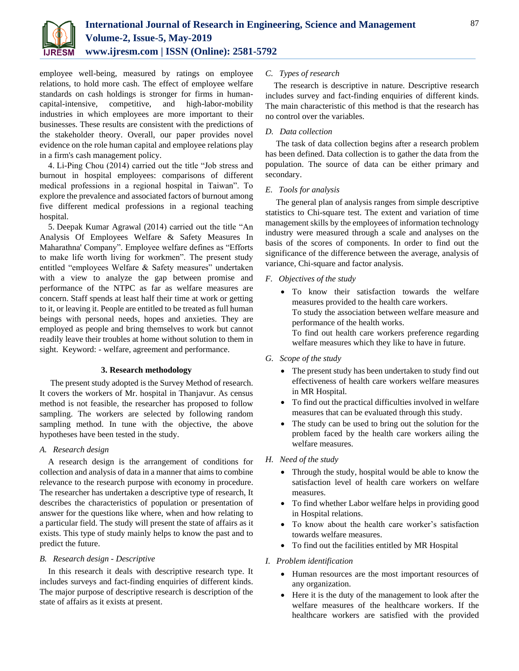

employee well-being, measured by ratings on employee relations, to hold more cash. The effect of employee welfare standards on cash holdings is stronger for firms in humancapital-intensive, competitive, and high-labor-mobility industries in which employees are more important to their businesses. These results are consistent with the predictions of the stakeholder theory. Overall, our paper provides novel evidence on the role human capital and employee relations play in a firm's cash management policy.

4. Li-Ping Chou (2014) carried out the title "Job stress and burnout in hospital employees: comparisons of different medical professions in a regional hospital in Taiwan". To explore the prevalence and associated factors of burnout among five different medical professions in a regional teaching hospital.

5. Deepak Kumar Agrawal (2014) carried out the title "An Analysis Of Employees Welfare & Safety Measures In Maharathna' Company". Employee welfare defines as "Efforts to make life worth living for workmen". The present study entitled "employees Welfare & Safety measures" undertaken with a view to analyze the gap between promise and performance of the NTPC as far as welfare measures are concern. Staff spends at least half their time at work or getting to it, or leaving it. People are entitled to be treated as full human beings with personal needs, hopes and anxieties. They are employed as people and bring themselves to work but cannot readily leave their troubles at home without solution to them in sight. Keyword: - welfare, agreement and performance.

# **3. Research methodology**

The present study adopted is the Survey Method of research. It covers the workers of Mr. hospital in Thanjavur. As census method is not feasible, the researcher has proposed to follow sampling. The workers are selected by following random sampling method. In tune with the objective, the above hypotheses have been tested in the study.

#### *A. Research design*

A research design is the arrangement of conditions for collection and analysis of data in a manner that aims to combine relevance to the research purpose with economy in procedure. The researcher has undertaken a descriptive type of research, It describes the characteristics of population or presentation of answer for the questions like where, when and how relating to a particular field. The study will present the state of affairs as it exists. This type of study mainly helps to know the past and to predict the future.

# *B. Research design - Descriptive*

In this research it deals with descriptive research type. It includes surveys and fact-finding enquiries of different kinds. The major purpose of descriptive research is description of the state of affairs as it exists at present.

# *C. Types of research*

The research is descriptive in nature. Descriptive research includes survey and fact-finding enquiries of different kinds. The main characteristic of this method is that the research has no control over the variables.

#### *D. Data collection*

The task of data collection begins after a research problem has been defined. Data collection is to gather the data from the population. The source of data can be either primary and secondary.

#### *E. Tools for analysis*

The general plan of analysis ranges from simple descriptive statistics to Chi-square test. The extent and variation of time management skills by the employees of information technology industry were measured through a scale and analyses on the basis of the scores of components. In order to find out the significance of the difference between the average, analysis of variance, Chi-square and factor analysis.

#### *F. Objectives of the study*

- To know their satisfaction towards the welfare measures provided to the health care workers. To study the association between welfare measure and performance of the health works. To find out health care workers preference regarding welfare measures which they like to have in future.
- *G. Scope of the study*
	- The present study has been undertaken to study find out effectiveness of health care workers welfare measures in MR Hospital.
	- To find out the practical difficulties involved in welfare measures that can be evaluated through this study.
	- The study can be used to bring out the solution for the problem faced by the health care workers ailing the welfare measures.
- *H. Need of the study*
	- Through the study, hospital would be able to know the satisfaction level of health care workers on welfare measures.
	- To find whether Labor welfare helps in providing good in Hospital relations.
	- To know about the health care worker's satisfaction towards welfare measures.
	- To find out the facilities entitled by MR Hospital

#### *I. Problem identification*

- Human resources are the most important resources of any organization.
- Here it is the duty of the management to look after the welfare measures of the healthcare workers. If the healthcare workers are satisfied with the provided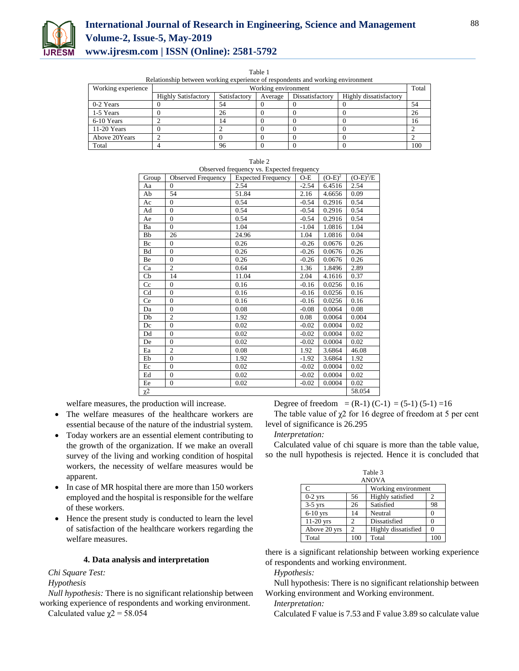

# **International Journal of Research in Engineering, Science and Management Volume-2, Issue-5, May-2019 www.ijresm.com | ISSN (Online): 2581-5792**

Table 1

|  |  |  |  |  |  | Relationship between working experience of respondents and working environment |  |
|--|--|--|--|--|--|--------------------------------------------------------------------------------|--|
|--|--|--|--|--|--|--------------------------------------------------------------------------------|--|

| Working experience | renationship occurrent womang experience of respondence and womang environment<br>Working environment |              |         |                 |                        | Total |
|--------------------|-------------------------------------------------------------------------------------------------------|--------------|---------|-----------------|------------------------|-------|
|                    | <b>Highly Satisfactory</b>                                                                            | Satisfactory | Average | Dissatisfactory | Highly dissatisfactory |       |
| 0-2 Years          |                                                                                                       | 54           |         |                 |                        | 54    |
| 1-5 Years          |                                                                                                       | 26           |         |                 |                        | 26    |
| 6-10 Years         |                                                                                                       | ، 4          |         |                 |                        | 16    |
| $11-20$ Years      |                                                                                                       |              |         |                 |                        |       |
| Above 20Years      |                                                                                                       |              |         |                 |                        |       |
| Total              |                                                                                                       | 96           |         |                 |                        | 100   |

|          | Observed frequency vs. Expected frequency |                           |         |           |             |  |  |
|----------|-------------------------------------------|---------------------------|---------|-----------|-------------|--|--|
| Group    | <b>Observed Frequency</b>                 | <b>Expected Frequency</b> | $O-E$   | $(O-E)^2$ | $(O-E)^2/E$ |  |  |
| Aa       | $\Omega$                                  | 2.54                      | $-2.54$ | 6.4516    | 2.54        |  |  |
| Ab       | 54                                        | 51.84                     | 2.16    | 4.6656    | 0.09        |  |  |
| Ac       | $\mathbf{0}$                              | 0.54                      | $-0.54$ | 0.2916    | 0.54        |  |  |
| Ad       | $\mathbf{0}$                              | 0.54                      | $-0.54$ | 0.2916    | 0.54        |  |  |
| Ae       | $\overline{0}$                            | 0.54                      | $-0.54$ | 0.2916    | 0.54        |  |  |
| Ba       | $\Omega$                                  | 1.04                      | $-1.04$ | 1.0816    | 1.04        |  |  |
| Bb       | 26                                        | 24.96                     | 1.04    | 1.0816    | 0.04        |  |  |
| Bc       | $\Omega$                                  | 0.26                      | $-0.26$ | 0.0676    | 0.26        |  |  |
| Bd       | $\Omega$                                  | 0.26                      | $-0.26$ | 0.0676    | 0.26        |  |  |
| Be       | $\Omega$                                  | 0.26                      | $-0.26$ | 0.0676    | 0.26        |  |  |
| Ca       | $\overline{c}$                            | 0.64                      | 1.36    | 1.8496    | 2.89        |  |  |
| Cb       | 14                                        | 11.04                     | 2.04    | 4.1616    | 0.37        |  |  |
| Cc       | $\mathbf{0}$                              | 0.16                      | $-0.16$ | 0.0256    | 0.16        |  |  |
| Cd       | $\theta$                                  | 0.16                      | $-0.16$ | 0.0256    | 0.16        |  |  |
| Ce       | $\mathbf{0}$                              | 0.16                      | $-0.16$ | 0.0256    | 0.16        |  |  |
| Da       | $\mathbf{0}$                              | 0.08                      | $-0.08$ | 0.0064    | 0.08        |  |  |
| Db       | $\overline{c}$                            | 1.92                      | 0.08    | 0.0064    | 0.004       |  |  |
| Dc       | $\theta$                                  | 0.02                      | $-0.02$ | 0.0004    | 0.02        |  |  |
| Dd       | $\theta$                                  | 0.02                      | $-0.02$ | 0.0004    | 0.02        |  |  |
| De       | $\mathbf{0}$                              | 0.02                      | $-0.02$ | 0.0004    | 0.02        |  |  |
| Ea       | $\overline{c}$                            | 0.08                      | 1.92    | 3.6864    | 46.08       |  |  |
| Eb       | $\overline{0}$                            | 1.92                      | $-1.92$ | 3.6864    | 1.92        |  |  |
| Ec       | $\mathbf{0}$                              | 0.02                      | $-0.02$ | 0.0004    | 0.02        |  |  |
| Ed       | $\mathbf{0}$                              | 0.02                      | $-0.02$ | 0.0004    | 0.02        |  |  |
| Ee       | $\mathbf{0}$                              | 0.02                      | $-0.02$ | 0.0004    | 0.02        |  |  |
| $\chi^2$ |                                           |                           |         |           | 58.054      |  |  |

Table 2

welfare measures, the production will increase.

- The welfare measures of the healthcare workers are essential because of the nature of the industrial system.
- Today workers are an essential element contributing to the growth of the organization. If we make an overall survey of the living and working condition of hospital workers, the necessity of welfare measures would be apparent.
- In case of MR hospital there are more than 150 workers employed and the hospital is responsible for the welfare of these workers.
- Hence the present study is conducted to learn the level of satisfaction of the healthcare workers regarding the welfare measures.

#### **4. Data analysis and interpretation**

# *Chi Square Test:*

#### *Hypothesis*

*Null hypothesis:* There is no significant relationship between working experience of respondents and working environment.

Calculated value  $\chi$ <sup>2</sup> = 58.054

Degree of freedom =  $(R-1)$   $(C-1)$  =  $(5-1)$   $(5-1)$  =16 The table value of  $\chi$ 2 for 16 degree of freedom at 5 per cent level of significance is 26.295

# *Interpretation:*

Calculated value of chi square is more than the table value, so the null hypothesis is rejected. Hence it is concluded that

| Table 3<br><b>ANOVA</b> |                |                     |     |  |  |
|-------------------------|----------------|---------------------|-----|--|--|
| C                       |                | Working environment |     |  |  |
| $0-2$ yrs               | 56             | Highly satisfied    |     |  |  |
| $3-5$ yrs               | 26             | Satisfied           | 98  |  |  |
| $6-10$ yrs              | 14             | Neutral             |     |  |  |
| $11-20$ yrs             | 2              | Dissatisfied        |     |  |  |
| Above 20 yrs            | $\mathfrak{D}$ | Highly dissatisfied |     |  |  |
| Total                   | 100            | Total               | 100 |  |  |

there is a significant relationship between working experience of respondents and working environment.

#### *Hypothesis:*

Null hypothesis: There is no significant relationship between Working environment and Working environment.

#### *Interpretation:*

Calculated F value is 7.53 and F value 3.89 so calculate value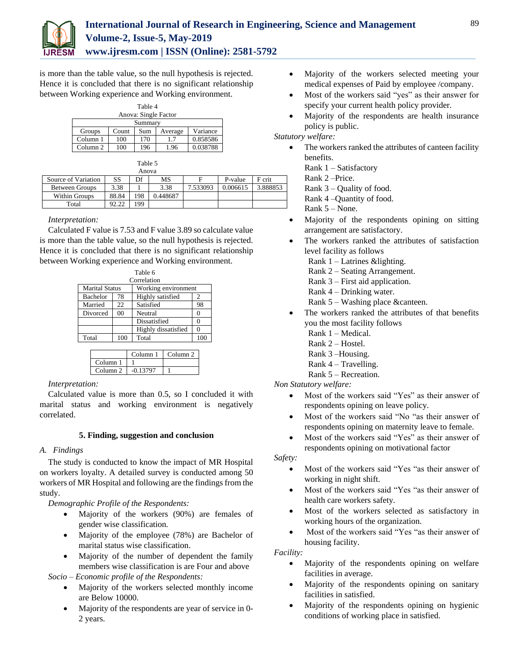

is more than the table value, so the null hypothesis is rejected. Hence it is concluded that there is no significant relationship between Working experience and Working environment.

| Table 4              |       |     |         |          |  |  |
|----------------------|-------|-----|---------|----------|--|--|
| Anova: Single Factor |       |     |         |          |  |  |
| Summary              |       |     |         |          |  |  |
| Groups               | Count | Sum | Average | Variance |  |  |
| Column 1             | 100   | 170 | 17      | 0.858586 |  |  |
| Column <sub>2</sub>  | 100   | 196 | 1.96    | 0.038788 |  |  |

|                       |       | Table 5 |          |          |          |          |
|-----------------------|-------|---------|----------|----------|----------|----------|
|                       |       | Anova   |          |          |          |          |
| Source of Variation   | SS    | Df      | MS       | F        | P-value  | F crit   |
| <b>Between Groups</b> | 3.38  |         | 3.38     | 7.533093 | 0.006615 | 3.888853 |
| <b>Within Groups</b>  | 88.84 | 198     | 0.448687 |          |          |          |
| Total                 | 92.22 | 199     |          |          |          |          |

*Interpretation:* 

Calculated F value is 7.53 and F value 3.89 so calculate value is more than the table value, so the null hypothesis is rejected. Hence it is concluded that there is no significant relationship between Working experience and Working environment.

| Table 6               |                |                     |     |  |  |  |  |
|-----------------------|----------------|---------------------|-----|--|--|--|--|
|                       | Correlation    |                     |     |  |  |  |  |
| <b>Marital Status</b> |                | Working environment |     |  |  |  |  |
| <b>Bachelor</b>       | 78             | Highly satisfied    | 2   |  |  |  |  |
| Married               | 22             | Satisfied           | 98  |  |  |  |  |
| Divorced              | 0 <sup>0</sup> | Neutral             |     |  |  |  |  |
|                       |                | Dissatisfied        |     |  |  |  |  |
|                       |                | Highly dissatisfied |     |  |  |  |  |
| Total                 | 100            | Total               | 100 |  |  |  |  |
|                       |                |                     |     |  |  |  |  |

|                     | Column <sub>1</sub> | Column <sub>2</sub> |
|---------------------|---------------------|---------------------|
| Column <sub>1</sub> |                     |                     |
| Column <sub>2</sub> | $-0.13797$          |                     |

*Interpretation:* 

Calculated value is more than 0.5, so I concluded it with marital status and working environment is negatively correlated.

# **5. Finding, suggestion and conclusion**

# *A. Findings*

The study is conducted to know the impact of MR Hospital on workers loyalty. A detailed survey is conducted among 50 workers of MR Hospital and following are the findings from the study.

*Demographic Profile of the Respondents:*

- Majority of the workers (90%) are females of gender wise classification*.*
- Majority of the employee (78%) are Bachelor of marital status wise classification.
- Majority of the number of dependent the family members wise classification is are Four and above

*Socio – Economic profile of the Respondents:*

- Majority of the workers selected monthly income are Below 10000.
- Majority of the respondents are year of service in 0-2 years.
- Majority of the workers selected meeting your medical expenses of Paid by employee /company.
- Most of the workers said "yes" as their answer for specify your current health policy provider.
- Majority of the respondents are health insurance policy is public.

*Statutory welfare:*

- The workers ranked the attributes of canteen facility benefits.
	- Rank 1 Satisfactory
	- Rank 2 –Price.

Rank  $3$  – Quality of food.

- Rank 4 –Quantity of food.
- Rank 5 None.
- Majority of the respondents opining on sitting arrangement are satisfactory.
- The workers ranked the attributes of satisfaction level facility as follows
	- Rank 1 Latrines &lighting.
	- Rank 2 Seating Arrangement.
	- Rank 3 First aid application.
	- Rank 4 Drinking water.
	- Rank 5 Washing place &canteen.
- The workers ranked the attributes of that benefits you the most facility follows
	- Rank 1 Medical.
	- Rank 2 Hostel.
	- Rank 3 –Housing.
	- Rank 4 Travelling.
	- Rank 5 Recreation.

*Non Statutory welfare:*

- Most of the workers said "Yes" as their answer of respondents opining on leave policy.
- Most of the workers said "No "as their answer of respondents opining on maternity leave to female.
- Most of the workers said "Yes" as their answer of respondents opining on motivational factor

# *Safety:*

- Most of the workers said "Yes "as their answer of working in night shift.
- Most of the workers said "Yes "as their answer of health care workers safety.
- Most of the workers selected as satisfactory in working hours of the organization.
- Most of the workers said "Yes "as their answer of housing facility.

*Facility:*

- Majority of the respondents opining on welfare facilities in average.
- Majority of the respondents opining on sanitary facilities in satisfied.
- Majority of the respondents opining on hygienic conditions of working place in satisfied.